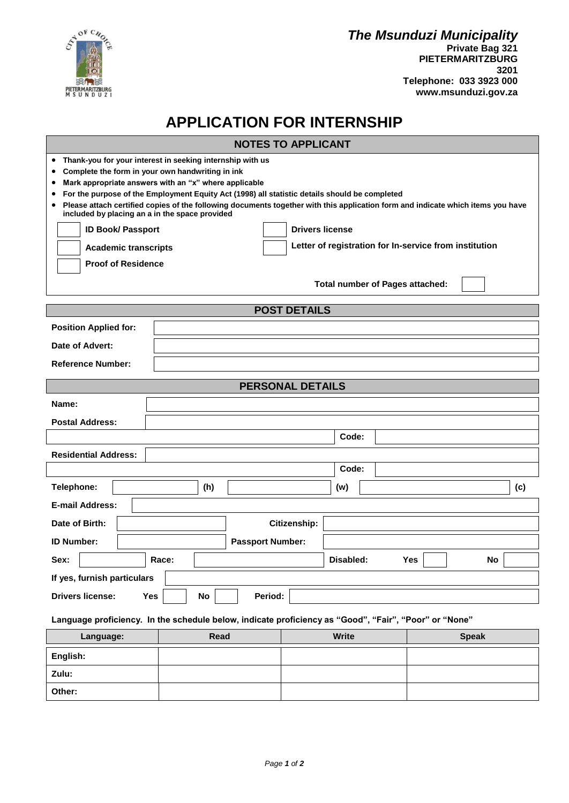

**Other:**

## **APPLICATION FOR INTERNSHIP**

| <b>NOTES TO APPLICANT</b>                                                                                                                                                                                                                                  |                         |  |                                                        |       |                        |              |  |     |  |  |
|------------------------------------------------------------------------------------------------------------------------------------------------------------------------------------------------------------------------------------------------------------|-------------------------|--|--------------------------------------------------------|-------|------------------------|--------------|--|-----|--|--|
| Thank-you for your interest in seeking internship with us<br>$\bullet$                                                                                                                                                                                     |                         |  |                                                        |       |                        |              |  |     |  |  |
| Complete the form in your own handwriting in ink<br>٠                                                                                                                                                                                                      |                         |  |                                                        |       |                        |              |  |     |  |  |
| Mark appropriate answers with an "x" where applicable<br>٠                                                                                                                                                                                                 |                         |  |                                                        |       |                        |              |  |     |  |  |
| For the purpose of the Employment Equity Act (1998) all statistic details should be completed<br>$\bullet$<br>Please attach certified copies of the following documents together with this application form and indicate which items you have<br>$\bullet$ |                         |  |                                                        |       |                        |              |  |     |  |  |
| included by placing an a in the space provided                                                                                                                                                                                                             |                         |  |                                                        |       |                        |              |  |     |  |  |
| <b>ID Book/ Passport</b>                                                                                                                                                                                                                                   |                         |  | <b>Drivers license</b>                                 |       |                        |              |  |     |  |  |
| <b>Academic transcripts</b>                                                                                                                                                                                                                                |                         |  | Letter of registration for In-service from institution |       |                        |              |  |     |  |  |
| <b>Proof of Residence</b>                                                                                                                                                                                                                                  |                         |  |                                                        |       |                        |              |  |     |  |  |
| <b>Total number of Pages attached:</b>                                                                                                                                                                                                                     |                         |  |                                                        |       |                        |              |  |     |  |  |
| <b>POST DETAILS</b>                                                                                                                                                                                                                                        |                         |  |                                                        |       |                        |              |  |     |  |  |
| <b>Position Applied for:</b>                                                                                                                                                                                                                               |                         |  |                                                        |       |                        |              |  |     |  |  |
| Date of Advert:                                                                                                                                                                                                                                            |                         |  |                                                        |       |                        |              |  |     |  |  |
| <b>Reference Number:</b>                                                                                                                                                                                                                                   |                         |  |                                                        |       |                        |              |  |     |  |  |
| <b>PERSONAL DETAILS</b>                                                                                                                                                                                                                                    |                         |  |                                                        |       |                        |              |  |     |  |  |
| Name:                                                                                                                                                                                                                                                      |                         |  |                                                        |       |                        |              |  |     |  |  |
| <b>Postal Address:</b>                                                                                                                                                                                                                                     |                         |  |                                                        |       |                        |              |  |     |  |  |
|                                                                                                                                                                                                                                                            |                         |  |                                                        | Code: |                        |              |  |     |  |  |
| <b>Residential Address:</b>                                                                                                                                                                                                                                |                         |  |                                                        |       |                        |              |  |     |  |  |
|                                                                                                                                                                                                                                                            |                         |  |                                                        | Code: |                        |              |  |     |  |  |
| Telephone:                                                                                                                                                                                                                                                 | (h)                     |  |                                                        | (w)   |                        |              |  | (c) |  |  |
| <b>E-mail Address:</b>                                                                                                                                                                                                                                     |                         |  |                                                        |       |                        |              |  |     |  |  |
| Date of Birth:<br>Citizenship:                                                                                                                                                                                                                             |                         |  |                                                        |       |                        |              |  |     |  |  |
| <b>ID Number:</b>                                                                                                                                                                                                                                          | <b>Passport Number:</b> |  |                                                        |       |                        |              |  |     |  |  |
| Sex:                                                                                                                                                                                                                                                       | Race:                   |  |                                                        |       | Disabled:<br>Yes<br>No |              |  |     |  |  |
| If yes, furnish particulars                                                                                                                                                                                                                                |                         |  |                                                        |       |                        |              |  |     |  |  |
| <b>Drivers license:</b><br>Yes<br>No<br>Period:                                                                                                                                                                                                            |                         |  |                                                        |       |                        |              |  |     |  |  |
| Language proficiency. In the schedule below, indicate proficiency as "Good", "Fair", "Poor" or "None"                                                                                                                                                      |                         |  |                                                        |       |                        |              |  |     |  |  |
| Read<br>Language:                                                                                                                                                                                                                                          |                         |  | Write                                                  |       |                        | <b>Speak</b> |  |     |  |  |
| English:                                                                                                                                                                                                                                                   |                         |  |                                                        |       |                        |              |  |     |  |  |
| Zulu:                                                                                                                                                                                                                                                      |                         |  |                                                        |       |                        |              |  |     |  |  |